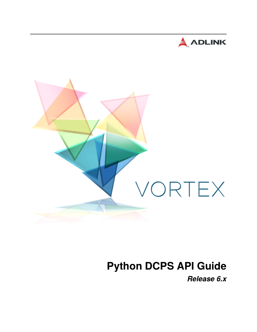



# **Python DCPS API Guide**

*Release 6.x*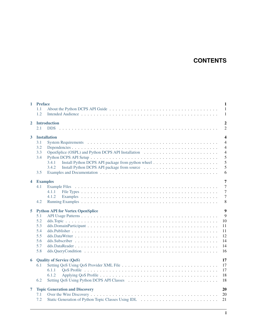# **CONTENTS**

|                         | $\mathbf{1}$<br>1 Preface<br>$\overline{1}$<br>1.1<br>1.2<br>$\mathbf{1}$                                                                                                     |  |  |
|-------------------------|-------------------------------------------------------------------------------------------------------------------------------------------------------------------------------|--|--|
| $\mathbf{2}$            | <b>Introduction</b><br>2.1                                                                                                                                                    |  |  |
| 3                       | $\overline{\mathbf{4}}$<br><b>Installation</b><br>$\overline{4}$<br>3.1<br>3.2<br>$\overline{4}$<br>3.3<br>$\overline{4}$<br>5<br>3.4<br>5<br>3.4.1<br>5<br>3.4.2<br>6<br>3.5 |  |  |
| $\overline{\mathbf{4}}$ | $\overline{7}$<br><b>Examples</b><br>$\overline{7}$<br>4.1<br>$\overline{7}$<br>4.1.1<br>$\overline{7}$<br>4.1.2<br>8<br>4.2                                                  |  |  |
| 5                       | $\overline{9}$<br><b>Python API for Vortex OpenSplice</b><br>9<br>5.1<br>5.2<br>10<br>5.3<br>11<br>5.4<br>11<br>5.5<br>12<br>14<br>5.6<br>14<br>5.7<br>5.8<br>16              |  |  |
| 6                       | 17<br><b>Quality of Service (QoS)</b><br>17<br>6.1<br>17<br>6.1.1<br>6.1.2<br>18<br>18<br>6.2                                                                                 |  |  |
| $\overline{7}$          | 20<br><b>Topic Generation and Discovery</b><br>20<br>7.1<br>7.2<br>21                                                                                                         |  |  |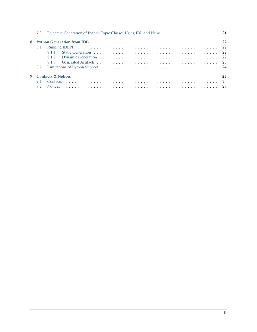| 7.3 Dynamic Generation of Python Topic Classes Using IDL and Name 21 |     |                              |    |
|----------------------------------------------------------------------|-----|------------------------------|----|
|                                                                      |     | 8 Python Generation from IDL | 22 |
|                                                                      |     |                              |    |
|                                                                      |     | 8.1.1                        |    |
|                                                                      |     |                              |    |
|                                                                      |     | 813                          |    |
|                                                                      | 8.2 |                              |    |
| 9 Contacts & Notices                                                 |     |                              | 25 |
|                                                                      | 9.1 |                              |    |
|                                                                      | 9.2 |                              |    |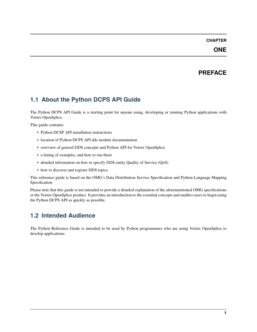### **ONE**

# **PREFACE**

# <span id="page-3-1"></span><span id="page-3-0"></span>**1.1 About the Python DCPS API Guide**

The Python DCPS API Guide is a starting point for anyone using, developing or running Python applications with Vortex OpenSplice.

This guide contains:

- Python DCSP API installation instructions
- location of Python DCPS API dds module documentation
- overview of general DDS concepts and Python API for Vortex OpenSplice
- a listing of examples, and how to run them
- detailed information on how to specify DDS entity Quality of Service (QoS)
- how to discover and register DDS topics

This reference guide is based on the OMG's Data Distribution Service Specification and Python Language Mapping Specification.

Please note that this guide is not intended to provide a detailed explanation of the aforementioned OMG specifications or the Vortex OpenSplice product. It provides an introduction to the essential concepts and enables users to begin using the Python DCPS API as quickly as possible.

# <span id="page-3-2"></span>**1.2 Intended Audience**

The Python Reference Guide is intended to be used by Python programmers who are using Vortex OpenSplice to develop applications.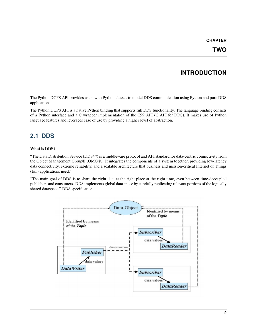# **INTRODUCTION**

<span id="page-4-0"></span>The Python DCPS API provides users with Python classes to model DDS communication using Python and pure DDS applications.

The Python DCPS API is a native Python binding that supports full DDS functionality. The language binding consists of a Python interface and a C wrapper implementation of the C99 API (C API for DDS). It makes use of Python language features and leverages ease of use by providing a higher level of abstraction.

# <span id="page-4-1"></span>**2.1 DDS**

#### **What is DDS?**

"The Data Distribution Service (DDS™) is a middleware protocol and API standard for data-centric connectivity from the Object Management Group® (OMG®). It integrates the components of a system together, providing low-latency data connectivity, extreme reliability, and a scalable architecture that business and mission-critical Internet of Things (IoT) applications need."

"The main goal of DDS is to share the right data at the right place at the right time, even between time-decoupled publishers and consumers. DDS implements global data space by carefully replicating relevant portions of the logically shared dataspace." DDS specification

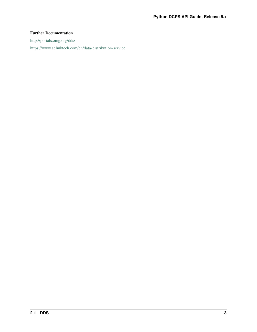### **Further Documentation**

<http://portals.omg.org/dds/>

<https://www.adlinktech.com/en/data-distribution-service>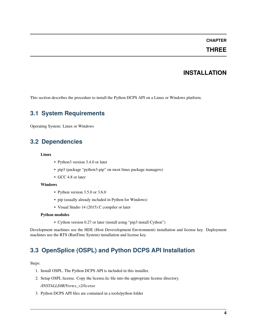### **THREE**

### **INSTALLATION**

<span id="page-6-0"></span>This section describes the procedure to install the Python DCPS API on a Linux or Windows platform.

### <span id="page-6-1"></span>**3.1 System Requirements**

Operating System: Linux or Windows

### <span id="page-6-2"></span>**3.2 Dependencies**

#### **Linux**

- Python3 version 3.4.0 or later
- pip3 (package "python3-pip" on most linux package managers)
- GCC 4.8 or later

#### **Windows**

- Python version 3.5.0 or 3.6.0
- pip (usually already included in Python for Windows)
- Visual Studio 14 (2015) C compiler or later

#### **Python modules**

• Cython version 0.27 or later (install using "pip3 install Cython")

Development machines use the HDE (Host Devevelopment Environment) installation and license key. Deployment machines use the RTS (RunTime System) installation and license key.

# <span id="page-6-3"></span>**3.3 OpenSplice (OSPL) and Python DCPS API Installation**

Steps:

- 1. Install OSPL. The Python DCPS API is included in this installer.
- 2. Setup OSPL license. Copy the license.lic file into the appropriate license directory.

*/INSTALLDIR/Vortex\_v2/license*

3. Python DCPS API files are contained in a tools/python folder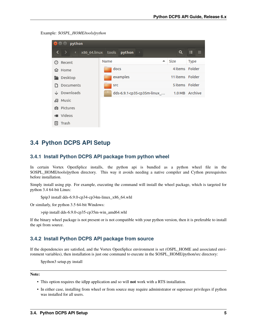Example: *\$OSPL\_HOME/tools/python*

| python<br>$\mathbf{x} \in \mathbf{0}$ |                                            |                  |             |  |  |  |
|---------------------------------------|--------------------------------------------|------------------|-------------|--|--|--|
| ∣ ><br>≺<br>$\langle$                 | $x86$ 64.linux tools python $\rightarrow$  | Q                | ₩<br>挂      |  |  |  |
| Recent<br>⊘                           | Name                                       | $\triangle$ Size | <b>Type</b> |  |  |  |
| Home<br>⋒                             | docs                                       | 4 items Folder   |             |  |  |  |
| Desktop                               | examples                                   | 11 items Folder  |             |  |  |  |
| Documents                             | <b>SFC</b>                                 | 5 items Folder   |             |  |  |  |
| Downloads                             | dds-6.9.1-cp35-cp35m-linux_ 1.0 MB Archive |                  |             |  |  |  |
| da Music                              |                                            |                  |             |  |  |  |
| <b>Q</b> Pictures                     |                                            |                  |             |  |  |  |
| <b>M</b> Videos                       |                                            |                  |             |  |  |  |
| Trash<br>画                            |                                            |                  |             |  |  |  |

### <span id="page-7-0"></span>**3.4 Python DCPS API Setup**

### <span id="page-7-1"></span>**3.4.1 Install Python DCPS API package from python wheel**

In certain Vortex OpenSplice installs, the python api is bundled as a python wheel file in the \$OSPL\_HOME/tools/python directory. This way it avoids needing a native compiler and Cython prerequisites before installation.

Simply install using pip. For example, executing the command will install the wheel package, which is targeted for python 3.4 64-bit Linux:

\$pip3 install dds-6.9.0-cp34-cp34m-linux\_x86\_64.whl

Or similarly, for python 3.5 64-bit Windows:

```
>pip install dds-6.9.0-cp35-cp35m-win_amd64.whl
```
If the binary wheel package is not present or is not compatible with your python version, then it is preferable to install the api from source.

#### <span id="page-7-2"></span>**3.4.2 Install Python DCPS API package from source**

If the dependencies are satisfied, and the Vortex OpenSplice environment is set (OSPL\_HOME and associated environment variables), then installation is just one command to execute in the \$OSPL\_HOME/python/src directory:

\$python3 setup.py install

**Note:**

- This option requires the idlpp application and so will **not** work with a RTS installation.
- In either case, installing from wheel or from source may require administrator or superuser privileges if python was installed for all users.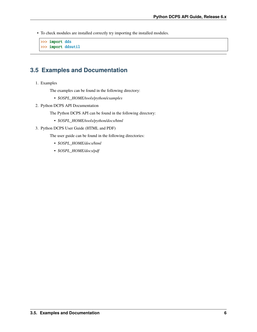• To check modules are installed correctly try importing the installed modules.

```
>>> import dds
>>> import ddsutil
```
### <span id="page-8-0"></span>**3.5 Examples and Documentation**

1. Examples

The examples can be found in the following directory:

- *\$OSPL\_HOME/tools/python/examples*
- 2. Python DCPS API Documentation

The Python DCPS API can be found in the following directory:

- *\$OSPL\_HOME/tools/python/docs/html*
- 3. Python DCPS User Guide (HTML and PDF)

The user guide can be found in the following directories:

- *\$OSPL\_HOME/docs/html*
- *\$OSPL\_HOME/docs/pdf*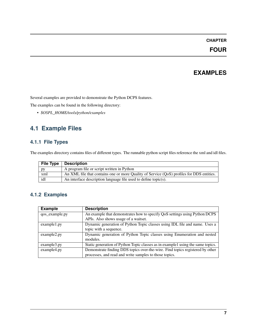### **FOUR**

# **EXAMPLES**

<span id="page-9-0"></span>Several examples are provided to demonstrate the Python DCPS features.

The examples can be found in the following directory:

• *\$OSPL\_HOME/tools/python/examples*

# <span id="page-9-1"></span>**4.1 Example Files**

### <span id="page-9-2"></span>**4.1.1 File Types**

The examples directory contains files of different types. The runnable python script files reference the xml and idl files.

| <b>File Type</b>                                                       | <b>Description</b>                                                                        |
|------------------------------------------------------------------------|-------------------------------------------------------------------------------------------|
| pу                                                                     | A program file or script written in Python                                                |
| xml                                                                    | An XML file that contains one or more Quality of Service (QoS) profiles for DDS entities. |
| idl<br>An interface description language file used to define topic(s). |                                                                                           |

### <span id="page-9-3"></span>**4.1.2 Examples**

| <b>Example</b> | <b>Description</b>                                                              |
|----------------|---------------------------------------------------------------------------------|
| qos_example.py | An example that demonstrates how to specify QoS settings using Python DCPS      |
|                | APIs. Also shows usage of a waitset.                                            |
| example1.py    | Dynamic generation of Python Topic classes using IDL file and name. Uses a      |
|                | topic with a sequence.                                                          |
| example2.py    | Dynamic generation of Python Topic classes using Enumeration and nested         |
|                | modules.                                                                        |
| example3.py    | Static generation of Python Topic classes as in example1 using the same topics. |
| example4.py    | Demonstrate finding DDS topics over-the-wire. Find topics registered by other   |
|                | processes, and read and write samples to those topics.                          |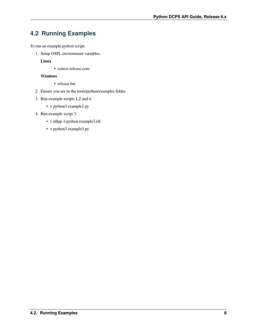# <span id="page-10-0"></span>**4.2 Running Examples**

To run an example python script:

1. Setup OSPL environment variables.

**Linux**

• source release.com

#### **Windows**

- release.bat
- 2. Ensure you are in the tools/python/examples folder
- 3. Run example scripts 1,2 and 4
	- > python3 example1.py
- 4. Run example script 3
	- > idlpp -l python example3.idl
	- > python3 example3.py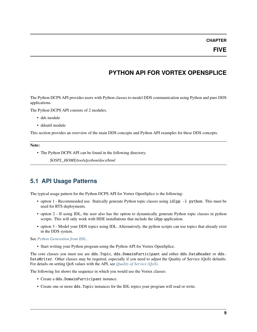# **PYTHON API FOR VORTEX OPENSPLICE**

<span id="page-11-0"></span>The Python DCPS API provides users with Python classes to model DDS communication using Python and pure DDS applications.

The Python DCPS API consists of 2 modules.

- dds module
- ddsutil module

This section provides an overview of the main DDS concepts and Python API examples for these DDS concepts.

**Note:**

• The Python DCPS API can be found in the following directory:

*\$OSPL\_HOME/tools/python/docs/html*

### <span id="page-11-1"></span>**5.1 API Usage Patterns**

The typical usage pattern for the Python DCPS API for Vortex OpenSplice is the following:

- option 1 Recommended use. Statically generate Python topic classes using idlpp -1 python. This must be used for RTS deployments.
- option 2 If using IDL, the user also has the option to dynamically generate Python topic classes in python scripts. This will only work with HDE installations that include the idlpp application.
- option 3 Model your DDS topics using IDL. Alternatively, the python scripts can use topics that already exist in the DDS system.

See *[Python Generation from IDL](#page-24-0)*.

• Start writing your Python program using the Python API for Vortex OpenSplice.

The core classes you must use are dds.Topic, dds.DomainParticipant and either dds.DataReader or dds. DataWriter. Other classes may be required, especially if you need to adjust the Quality of Service (QoS) defaults. For details on setting QoS values with the API, see *[Quality of Service \(QoS\)](#page-19-0)*.

The following list shows the sequence in which you would use the Vortex classes:

- Create a dds.DomainParticipant instance.
- Create one or more dds.Topic instances for the IDL topics your program will read or write.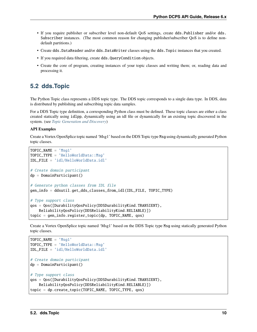- If you require publisher or subscriber level non-default QoS settings, create dds.Publisher and/or dds. Subscriber instances. (The most common reason for changing publisher/subscriber QoS is to define nondefault partitions.)
- Create dds.DataReader and/or dds.DataWriter classes using the dds.Topic instances that you created.
- If you required data filtering, create dds.QueryCondition objects.
- Create the core of program, creating instances of your topic classes and writing them; or, reading data and processing it.

### <span id="page-12-0"></span>**5.2 dds.Topic**

The Python Topic class represents a DDS topic type. The DDS topic corresponds to a single data type. In DDS, data is distributed by publishing and subscribing topic data samples.

For a DDS Topic type definition, a corresponding Python class must be defined. These topic classes are either a class created statically using idlpp, dynamically using an idl file or dynamically for an existing topic discovered in the system. (see *[Topic Generation and Discovery](#page-22-0)*)

#### **API Examples**

Create a Vortex OpenSplice topic named 'Msg1' based on the DDS Topic type Msg using dynamically generated Python topic classes.

```
TOPIC_NAME = 'Msg1'
TOPIC_TYPE = 'HelloWorldData::Msq'IDL_FILE = 'idl/HelloWorldData.idl'
# Create domain participant
dp = DomainParticipant()
# Generate python classes from IDL file
gen_info = ddsutil.get_dds_classes_from_idl(IDL_FILE, TOPIC_TYPE)
# Type support class
qos = Qos([DurabilityQosPolicy(DDSDurabilityKind.TRANSIENT),
   ReliabilityQosPolicy(DDSReliabilityKind.RELIABLE)])
topic = gen_info.register_topic(dp, TOPIC_NAME, qos)
```
Create a Vortex OpenSplice topic named 'Msg1' based on the DDS Topic type Msg using statically generated Python topic classes.

```
TOPIC_NAME = 'Msg1'
TOPIC_TYPE = 'HelloWorldData::Msq'IDL_FILE = 'idl/HelloWorldData.idl'
# Create domain participant
dp = DomainParticipant()# Type support class
qos = Qos([DurabilityQosPolicy(DDSDurabilityKind.TRANSIENT),
   ReliabilityQosPolicy(DDSReliabilityKind.RELIABLE)])
topic = dp.create_topic(TOPIC_NAME, TOPIC_TYPE, qos)
```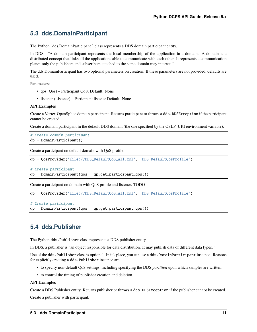# <span id="page-13-0"></span>**5.3 dds.DomainParticipant**

The Python``dds.DomainParticipant`` class represents a DDS domain participant entity.

In DDS - "A domain participant represents the local membership of the application in a domain. A domain is a distributed concept that links all the applications able to communicate with each other. It represents a communication plane: only the publishers and subscribers attached to the same domain may interact."

The dds.DomainParticipant has two optional parameters on creation. If these parameters are not provided, defaults are used.

Parameters:

- qos (Qos) Participant QoS. Default: None
- listener (Listener) Participant listener Default: None

#### **API Examples**

Create a Vortex OpenSplice domain participant. Returns participant or throws a dds.DDSException if the participant cannot be created.

Create a domain participant in the default DDS domain (the one specified by the OSLP\_URI environment variable).

```
# Create domain participant
dp = DomainParticipant()
```
Create a participant on default domain with QoS profile.

```
qp = QosProvider('file://DDS_DefaultQoS_All.xml', 'DDS DefaultQosProfile')
```

```
# Create participant
dp = DomainParticipant(qos = qp.get_participant_qos())
```
Create a participant on domain with QoS profile and listener. TODO

```
qp = QosProvider('file://DDS_DefaultQoS_All.xml', 'DDS DefaultQosProfile')
```

```
# Create participant
dp = DomainParticipant(qos = qp.get-participant_qos())
```
# <span id="page-13-1"></span>**5.4 dds.Publisher**

The Python dds.Publisher class represents a DDS publisher entity.

In DDS, a publisher is "an object responsible for data distribution. It may publish data of different data types."

Use of the dds.Publisher class is optional. In it's place, you can use a dds.DomainParticipant instance. Reasons for explicitly creating a dds.Publisher instance are:

- to specify non-default QoS settings, including specifying the DDS *partition* upon which samples are written.
- to control the timing of publisher creation and deletion.

#### **API Examples**

Create a DDS Publisher entity. Returns publisher or throws a dds.DDSException if the publisher cannot be created. Create a publisher with participant.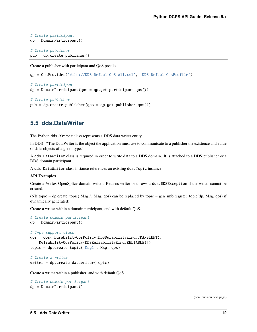```
# Create participant
dp = DomainParticipant()# Create publisher
pub = dp.create_publisher()
```
Create a publisher with participant and QoS profile.

```
qp = QosProvider('file://DDS_DefaultQoS_All.xml', 'DDS DefaultQosProfile')
# Create participant
dp = DomainParticipant(qos = qp.get-participant_qos())# Create publisher
pub = dp.create\_publicher(qos = qp.get\_publicher_qos())
```
# <span id="page-14-0"></span>**5.5 dds.DataWriter**

The Python dds.Writer class represents a DDS data writer entity.

In DDS - "The DataWriter is the object the application must use to communicate to a publisher the existence and value of data-objects of a given type."

A dds.DataWriter class is required in order to write data to a DDS domain. It is attached to a DDS publisher or a DDS domain participant.

A dds.DataWriter class instance references an existing dds.Topic instance.

#### **API Examples**

Create a Vortex OpenSplice domain writer. Returns writer or throws a dds.DDSException if the writer cannot be created.

(NB topic = dp.create\_topic('Msg1', Msg, qos) can be replaced by topic = gen\_info.register\_topic(dp, Msg, qos) if dynamically generated)

Create a writer within a domain participant, and with default QoS.

```
# Create domain participant
dp = DomainParticipant()
# Type support class
qos = Qos([DurabilityQosPolicy(DDSDurabilityKind.TRANSIENT),
    ReliabilityQosPolicy(DDSReliabilityKind.RELIABLE)])
topic = dp \cdot create\_topic('Msq', Msq, qos)# Create a writer
writer = dp.create_datawriter(topic)
```
Create a writer within a publisher, and with default QoS.

```
# Create domain participant
dp = DomainParticipant()
```
(continues on next page)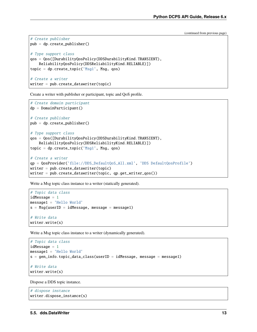(continued from previous page)

```
# Create publisher
pub = dp.create_publisher()
# Type support class
qos = Qos([DurabilityQosPolicy(DDSDurabilityKind.TRANSIENT),
   ReliabilityQosPolicy(DDSReliabilityKind.RELIABLE)])
topic = dp.create_topic('Msg1', Msg, qos)
# Create a writer
writer = pub.create_datawriter(topic)
```
Create a writer with publisher or participant, topic and QoS profile.

```
# Create domain participant
dp = DomainParticipant()
# Create publisher
pub = dp.create_publisher()
# Type support class
qos = Qos([DurabilityQosPolicy(DDSDurabilityKind.TRANSIENT),
   ReliabilityQosPolicy(DDSReliabilityKind.RELIABLE)])
topic = dp.create\_topic('Msg1', Msg, qos)# Create a writer
qp = QosProvider('file://DDS_DefaultQoS_All.xml', 'DDS DefaultQosProfile')
writer = pub.create_datawriter(topic)writer = pub.create_datawriter(topic, qp.get_writer_qos())
```
Write a Msg topic class instance to a writer (statically generated).

```
# Topic data class
idMessage = 1message1 = 'Hello World'
s = Msg(userID = idMessage, message = message1)# Write data
writer.write(s)
```
Write a Msg topic class instance to a writer (dynamically generated).

```
# Topic data class
idMessage = 1message1 = 'Hello World'
s = gen_info.topic_data_class(userID = idMessage, message = message1)# Write data
writer.write(s)
```
Dispose a DDS topic instance.

```
# dispose instance
writer.dispose_instance(s)
```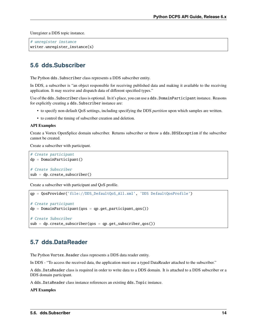Unregister a DDS topic instance.

```
# unregister instance
writer.unregister_instance(s)
```
### <span id="page-16-0"></span>**5.6 dds.Subscriber**

The Python dds. Subscriber class represents a DDS subscriber entity.

In DDS, a subscriber is "an object responsible for receiving published data and making it available to the receiving application. It may receive and dispatch data of different specified types."

Use of the dds.Subscriber class is optional. In it's place, you can use a dds.DomainParticipant instance. Reasons for explicitly creating a dds. Subscriber instance are:

- to specify non-default QoS settings, including specifying the DDS *partition* upon which samples are written.
- to control the timing of subscriber creation and deletion.

#### **API Examples**

Create a Vortex OpenSplice domain subscriber. Returns subscriber or throw a dds.DDSException if the subscriber cannot be created.

Create a subscriber with participant.

```
# Create participant
dp = DomainParticipant()
# Create Subscriber
sub = dp. create\_subscripter()
```
Create a subscriber with participant and QoS profile.

```
qp = QosProvider('file://DDS_DefaultQoS_All.xml', 'DDS DefaultQosProfile')
# Create participant
dp = DomainParticipant(qos = qp.get-participant_qos())# Create Subscriber
sub = dp.create-subscripter(qos = qp.get-subscripter_qos))
```
### <span id="page-16-1"></span>**5.7 dds.DataReader**

The Python Vortex. Reader class represents a DDS data reader entity.

In DDS - "To access the received data, the application must use a typed DataReader attached to the subscriber."

A dds.DataReader class is required in order to write data to a DDS domain. It is attached to a DDS subscriber or a DDS domain participant.

A dds.DataReader class instance references an existing dds.Topic instance.

**API Examples**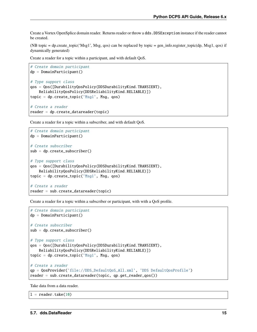Create a Vortex OpenSplice domain reader. Returns reader or throw a dds.DDSException instance if the reader cannot be created.

(NB topic = dp.create\_topic('Msg1', Msg, qos) can be replaced by topic = gen\_info.register\_topic(dp, Msg1, qos) if dynamically generated)

Create a reader for a topic within a participant, and with default QoS.

```
# Create domain participant
dp = DomainParticipant()
# Type support class
qos = Qos([DurabilityQosPolicy(DDSDurabilityKind.TRANSIENT),
    ReliabilityQosPolicy(DDSReliabilityKind.RELIABLE)])
topic = dp \cdot create\_topic('Msg1', Msg, qos)# Create a reader
reader = dp.create_datareader(topic)
```
Create a reader for a topic within a subscriber, and with default QoS.

```
# Create domain participant
dp = DomainParticipant()# Create subscriber
sub = dp.create_subscriber()
# Type support class
qos = Qos([DurabilityQosPolicy(DDSDurabilityKind.TRANSIENT),
   ReliabilityQosPolicy(DDSReliabilityKind.RELIABLE)])
topic = dp \cdot create\_topic('Msq', Msq, qos)# Create a reader
reader = sub.create_datareader(topic)
```
Create a reader for a topic within a subscriber or participant, with with a QoS profile.

```
# Create domain participant
dp = DomainParticipant()# Create subscriber
sub = dp.create_subscriber()
# Type support class
qos = Qos([DurabilityQosPolicy(DDSDurabilityKind.TRANSIENT),
   ReliabilityQosPolicy(DDSReliabilityKind.RELIABLE)])
topic = dp.create_topic('Msg1', Msg, qos)
# Create a reader
qp = QosProvider('file://DDS_DefaultQoS_All.xml', 'DDS DefaultQosProfile')
reader = sub.create_datareader(topic, qp.get_reader_qos())
```
Take data from a data reader.

 $l = reader.title(10)$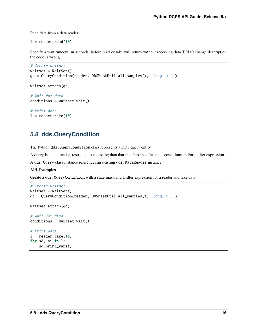Read data from a data reader.

 $l = reader.read(10)$ 

Specify a wait timeout, in seconds, before read or take will return without receiving data TODO change description the code is wrong

```
# Create waitset
waitset = WaitSet()qc = QueryCondition(reader, DDSMaskUtil.all\_samples(), 'long1 > 1')waitset.attach(qc)
# Wait for data
conditions = waitset.wait()# Print data
l = reader.title(10)
```
### <span id="page-18-0"></span>**5.8 dds.QueryCondition**

The Python dds.QueryCondition class represents a DDS query entity.

A query is a data reader, restricted to accessing data that matches specific status conditions and/or a filter expression.

A dds.Query class instance references an existing dds.DataReader instance.

#### **API Examples**

Create a dds.QueryCondition with a state mask and a filter expression for a reader and take data.

```
# Create waitset
waitset = WaitSet()qc = QueryCondition(reader, DDSMaskUtil.all\_samples(), 'long1 > 1')waitset.attach(qc)
# Wait for data
conditions = waitset.wait()# Print data
l = reader.title(10)for sd, si in l:
    sd.print_vars()
```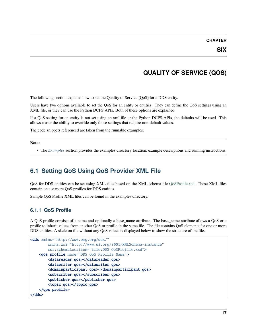# **QUALITY OF SERVICE (QOS)**

<span id="page-19-0"></span>The following section explains how to set the Quality of Service (QoS) for a DDS entity.

Users have two options available to set the QoS for an entity or entities. They can define the QoS settings using an XML file, or they can use the Python DCPS APIs. Both of these options are explained.

If a QoS setting for an entity is not set using an xml file or the Python DCPS APIs, the defaults will be used. This allows a user the ability to override only those settings that require non-default values.

The code snippets referenced are taken from the runnable examples.

**Note:**

• The *[Examples](#page-9-0)* section provides the examples directory location, example descriptions and running instructions.

# <span id="page-19-1"></span>**6.1 Setting QoS Using QoS Provider XML File**

QoS for DDS entities can be set using XML files based on the XML schema file [QoSProfile.xsd.](http://www.omg.org/spec/dds4ccm/20110201/DDS_QoSProfile.xsd) These XML files contain one or more QoS profiles for DDS entities.

Sample QoS Profile XML files can be found in the examples directory.

### <span id="page-19-2"></span>**6.1.1 QoS Profile**

A QoS profile consists of a name and optionally a base\_name attribute. The base\_name attribute allows a QoS or a profile to inherit values from another QoS or profile in the same file. The file contains QoS elements for one or more DDS entities. A skeleton file without any QoS values is displayed below to show the structure of the file.

```
<dds xmlns="http://www.omg.org/dds/"
        xmlns:xsi="http://www.w3.org/2001/XMLSchema-instance"
        xsi:schemaLocation="file:DDS_QoSProfile.xsd">
   <qos_profile name="DDS QoS Profile Name">
        <datareader_qos></datareader_qos>
        <datawriter_qos></datawriter_qos>
        <domainparticipant_qos></domainparticipant_qos>
        <subscriber_qos></subscriber_qos>
        <publisher_qos></publisher_qos>
        <topic_qos></topic_qos>
   </qos_profile>
</dds>
```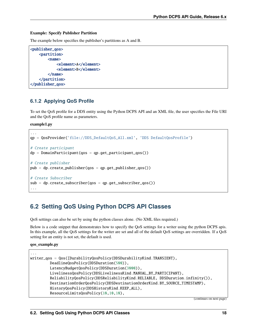#### **Example: Specify Publisher Partition**

The example below specifies the publisher's partitions as A and B.

```
<publisher_qos>
    <partition>
        <name>
            <element>A</element>
            <element>B</element>
        </name>
    </partition>
</publisher_qos>
```
### <span id="page-20-0"></span>**6.1.2 Applying QoS Profile**

To set the QoS profile for a DDS entity using the Python DCPS API and an XML file, the user specifies the File URI and the QoS profile name as parameters.

**example1.py**

```
...
qp = QosProvider('file://DDS_DefaultQoS_All.xml', 'DDS DefaultQosProfile')
# Create participant
dp = DomainParticipant(qos = qp.get-participant_qos())# Create publisher
pub = dp.create\_publicher(qos = qp.get\_publicher_qos())# Create Subscriber
sub = dp.create-subscripter(qos = qp.get-subscripter_qos))...
```
# <span id="page-20-1"></span>**6.2 Setting QoS Using Python DCPS API Classes**

QoS settings can also be set by using the python classes alone. (No XML files required.)

Below is a code snippet that demonstrates how to specify the QoS settings for a writer using the python DCPS apis. In this example, all the QoS settings for the writer are set and all of the default QoS settings are overridden. If a QoS setting for an entity is not set, the default is used.

#### **qos\_example.py**

```
...
writer_qos = Qos([DurabilityQosPolicy(DDSDurabilityKind.TRANSIENT),
         DeadlineQosPolicy(DDSDuration(500)),
         LatencyBudgetQosPolicy(DDSDuration(3000)),
         LivelinessQosPolicy(DDSLivelinessKind.MANUAL_BY_PARTICIPANT),
         ReliabilityQosPolicy(DDSReliabilityKind.RELIABLE, DDSDuration.infinity()),
         DestinationOrderQosPolicy(DDSDestinationOrderKind.BY_SOURCE_TIMESTAMP),
         HistoryQosPolicy(DDSHistoryKind.KEEP_ALL),
         ResourceLimitsQosPolicy(10,10,10),
```
(continues on next page)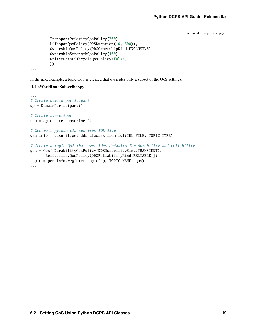(continued from previous page)

```
TransportPriorityQosPolicy(700),
LifespanQosPolicy(DDSDuration(10, 500)),
OwnershipQosPolicy(DDSOwnershipKind.EXCLUSIVE),
OwnershipStrengthQosPolicy(100),
WriterDataLifecycleQosPolicy(False)
])
```
In the next example, a topic QoS is created that overrides only a subset of the QoS settings.

#### **HelloWorldDataSubscriber.py**

...

```
...
# Create domain participant
dp = DomainParticipant()
# Create subscriber
sub = dp. create\_subscripter()# Generate python classes from IDL file
gen_info = ddsutil.get_dds_classes_from_idl(IDL_FILE, TOPIC_TYPE)
# Create a topic QoS that overrides defaults for durability and reliability
qos = Qos([DurabilityQosPolicy(DDSDurabilityKind.TRANSIENT),
       ReliabilityQosPolicy(DDSReliabilityKind.RELIABLE)])
topic = gen_info.register_topic(dp, TOPIC_NAME, qos)
...
```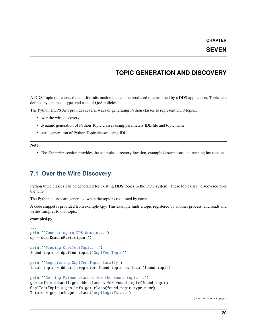### **SEVEN**

### **TOPIC GENERATION AND DISCOVERY**

<span id="page-22-0"></span>A DDS Topic represents the unit for information that can be produced or consumed by a DDS application. Topics are defined by a name, a type, and a set of QoS policies.

The Python DCPS API provides several ways of generating Python classes to represent DDS topics.

- over the wire discovery
- dynamic generation of Python Topic classes using parameters IDL file and topic name
- static generation of Python Topic classes using IDL

**Note:**

• The *[Examples](#page-9-0)* section provides the examples directory location, example descriptions and running instructions.

### <span id="page-22-1"></span>**7.1 Over the Wire Discovery**

Python topic classes can be generated for existing DDS topics in the DDS system. These topics are "discovered over the wire".

The Python classes are generated when the topic is requested by name.

A code snippet is provided from example4.py. This example finds a topic registered by another process, and reads and writes samples to that topic.

**example4.py**

```
...
print('Connecting to DDS domain...')
dp = dds.DomainParticipant()
print('Finding OsplTestTopic...')
found_topic = dp.find_topic('OsplTestTopic')
print('Registering OsplTestTopic locally')
local_topic = ddsutil.register_found_topic_as_local(found_topic)
print('Getting Python classes for the found topic...')
gen_info = ddsutil.get_dds_classes_for_found_topic(found_topic)
OsplTestTopic = gen_info.get_class(found_topic.type_name)
Tstate = gen_info.get_class('ospllog::Tstate')
```
(continues on next page)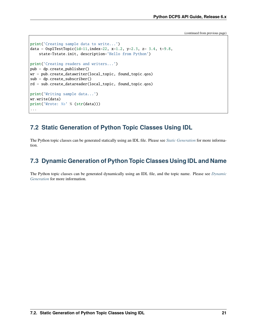(continued from previous page)

```
print('Creating sample data to write...')
data = 0splTestTopic(id=11,index=22, x=1.2, y=2.3, z= 3.4, t=9.8,
   state=Tstate.init, description='Hello from Python')
print('Creating readers and writers...')
pub = dp.create_publisher()
wr = pub.create_datawriter(local_topic, found_topic.qos)
sub = dp. create\_subscripter()rd = sub.create_datareader(local_topic, found_topic.qos)
print('Writing sample data...')
wr.write(data)
print('Wrote: %s' % (str(data)))
...
```
# <span id="page-23-0"></span>**7.2 Static Generation of Python Topic Classes Using IDL**

The Python topic classes can be generated statically using an IDL file. Please see *[Static Generation](#page-24-2)* for more information.

# <span id="page-23-1"></span>**7.3 Dynamic Generation of Python Topic Classes Using IDL and Name**

The Python topic classes can be generated dynamically using an IDL file, and the topic name. Please see *[Dynamic](#page-24-3) [Generation](#page-24-3)* for more information.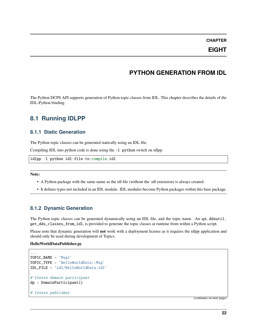### **EIGHT**

### **PYTHON GENERATION FROM IDL**

<span id="page-24-0"></span>The Python DCPS API supports generation of Python topic classes from IDL. This chapter describes the details of the IDL-Python binding.

### <span id="page-24-1"></span>**8.1 Running IDLPP**

### <span id="page-24-2"></span>**8.1.1 Static Generation**

The Python topic classes can be generated statically using an IDL file.

Compiling IDL into python code is done using the  $-1$  python switch on idlpp:

```
idlpp -l python idl-file-to-compile.idl
```
**Note:**

- A Python package with the same name as the idl file (without the .idl extension) is always created.
- It defines types not included in an IDL module. IDL modules become Python packages within this base package.

### <span id="page-24-3"></span>**8.1.2 Dynamic Generation**

The Python topic classes can be generated dynamically using an IDL file, and the topic name. An api, ddsutil. get\_dds\_classes\_from\_idl, is provided to generate the topic classes at runtime from within a Python script.

Please note that dynamic generation will **not** work with a deployment license as it requires the idlpp application and should only be used during development of Topics.

#### **HelloWorldDataPublisher.py**

```
...
TOPIC_NAME = 'Msg1'
TOPIC_TYPE = 'HelloWorldData::Msq'IDL_FILE = 'idl/HelloWorldData.idl'
# Create domain participant
dp = DomainParticipant()
# Create publisher
```
(continues on next page)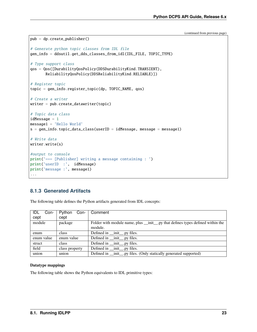(continued from previous page)

```
pub = dp.create_publisher()
# Generate python topic classes from IDL file
gen_info = ddsutil.get_dds_classes_from_idl(IDL_FILE, TOPIC_TYPE)
# Type support class
qos = Qos([DurabilityQosPolicy(DDSDurabilityKind.TRANSIENT),
       ReliabilityQosPolicy(DDSReliabilityKind.RELIABLE)])
# Register topic
topic = gen_info.register_topic(dp, TOPIC_NAME, qos)
# Create a writer
writer = pub.create_datawriter(topic)
# Topic data class
idMessage = 1
message1 = 'Hello World'
s = gen_info.topic_data_class(userID = idMessage, message = message1)
# Write data
writer.write(s)
#output to console
print('=== [Publisher] writing a message containing : ')
print('userID :', idMessage)
print('message :', message1)
...
```
### <span id="page-25-0"></span>**8.1.3 Generated Artifacts**

The following table defines the Python artifacts generated from IDL concepts:

| IDL<br>Con- | Python<br>Con- | Comment                                                                         |
|-------------|----------------|---------------------------------------------------------------------------------|
| cept        | cept           |                                                                                 |
| module      | package        | Folder with module name, plus __init__.py that defines types defined within the |
|             |                | module.                                                                         |
| enum        | class          | Defined in __init__.py files.                                                   |
| enum value  | enum value     | Defined in _____ init_____, py files.                                           |
| struct      | class          | Defined in _____ init_____, py files.                                           |
| field       | class property | Defined in __init__.py files.                                                   |
| union       | union          | Defined in _____ init____, py files. (Only statically generated supported)      |

#### **Datatype mappings**

The following table shows the Python equivalents to IDL primitive types: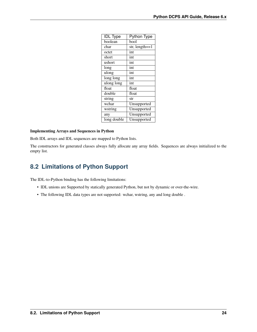| <b>IDL</b> Type | <b>Python Type</b> |
|-----------------|--------------------|
| boolean         | bool               |
| char            | str, $length == 1$ |
| octet           | int                |
| short           | int                |
| ushort          | int                |
| long            | int                |
| ulong           | int                |
| long long       | int                |
| ulong long      | int                |
| float           | float              |
| double          | float              |
| string          | str                |
| wchar           | Unsupported        |
| wstring         | Unsupported        |
| any             | Unsupported        |
| long double     | Unsupported        |

#### **Implementing Arrays and Sequences in Python**

Both IDL arrays and IDL sequences are mapped to Python lists.

The constructors for generated classes always fully allocate any array fields. Sequences are always initialized to the empty list.

# <span id="page-26-0"></span>**8.2 Limitations of Python Support**

The IDL-to-Python binding has the following limitations:

- IDL unions are Supported by statically generated Python, but not by dynamic or over-the-wire.
- The following IDL data types are not supported: wchar, wstring, any and long double .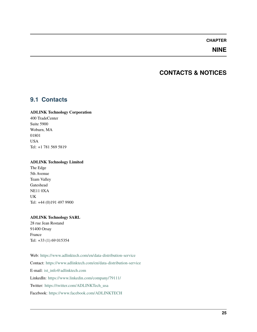### **NINE**

### **CONTACTS & NOTICES**

### <span id="page-27-1"></span><span id="page-27-0"></span>**9.1 Contacts**

#### **ADLINK Technology Corporation**

400 TradeCenter Suite 5900 Woburn, MA 01801 USA Tel: +1 781 569 5819

#### **ADLINK Technology Limited**

The Edge 5th Avenue Team Valley Gateshead NE11 0XA UK Tel: +44 (0)191 497 9900

### **ADLINK Technology SARL**

28 rue Jean Rostand 91400 Orsay France Tel: +33 (1) 69 015354

Web: <https://www.adlinktech.com/en/data-distribution-service> Contact: <https://www.adlinktech.com/en/data-distribution-service> E-mail: [ist\\_info@adlinktech.com](mailto:ist_info@adlinktech.com) LinkedIn: <https://www.linkedin.com/company/79111/> Twitter: [https://twitter.com/ADLINKTech\\_usa](https://twitter.com/ADLINKTech_usa) Facebook: <https://www.facebook.com/ADLINKTECH>